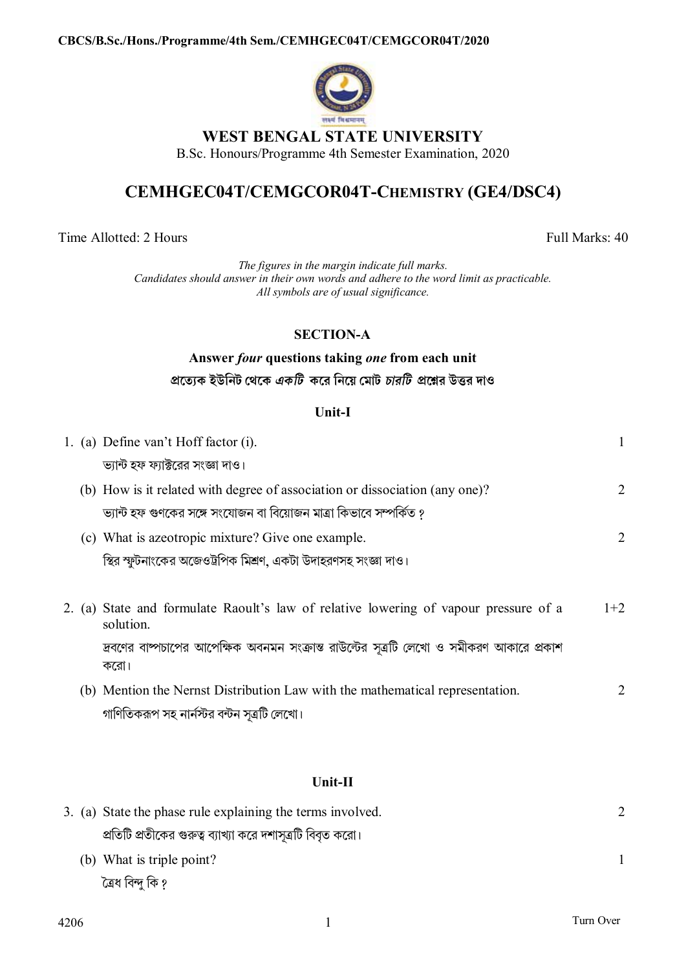

# WEST BENGAL STATE UNIVERSITY

B.Sc. Honours/Programme 4th Semester Examination, 2020

# CEMHGEC04T/CEMGCOR04T-CHEMISTRY (GE4/DSC4)

Time Allotted: 2 Hours

Full Marks: 40

The figures in the margin indicate full marks. Candidates should answer in their own words and adhere to the word limit as practicable. All symbols are of usual significance.

## **SECTION-A**

# Answer four questions taking one from each unit প্রত্যেক ইউনিট থেকে *একটি ক*রে নিয়ে মোট *চারটি প্র*শ্নের উত্তর দাও

### Unit-I

|  | 1. (a) Define van't Hoff factor (i).                                                              |                |
|--|---------------------------------------------------------------------------------------------------|----------------|
|  | ভ্যান্ট হফ ফ্যাক্টরের সংজ্ঞা দাও।                                                                 |                |
|  | (b) How is it related with degree of association or dissociation (any one)?                       | $\overline{2}$ |
|  | ভ্যান্ট হফ গুণকের সঙ্গে সংযোজন বা বিয়োজন মাত্রা কিভাবে সম্পর্কিত ?                               |                |
|  | (c) What is azeotropic mixture? Give one example.                                                 | $\overline{2}$ |
|  | স্থির স্ফুটনাংকের অজেওট্রপিক মিশ্রণ, একটা উদাহরণসহ সংজ্ঞা দাও।                                    |                |
|  |                                                                                                   |                |
|  | 2. (a) State and formulate Raoult's law of relative lowering of vapour pressure of a<br>solution. | $1+2$          |
|  | দ্রবণের বাষ্পচাপের আপেক্ষিক অবনমন সংক্রান্ত রাউল্টের সূত্রটি লেখো ও সমীকরণ আকারে প্রকাশ<br>করো।   |                |
|  | (b) Mention the Nernst Distribution Law with the mathematical representation.                     | 2              |
|  | গাণিতিকরূপ সহ নার্নস্টর বন্টন সূত্রটি লেখো।                                                       |                |
|  |                                                                                                   |                |

### Unit-II

| 3. (a) State the phase rule explaining the terms involved.  |  |
|-------------------------------------------------------------|--|
| প্রতিটি প্রতীকের গুরুত্ব ব্যাখ্যা করে দশাসূত্রটি বিবৃত করো। |  |
| (b) What is triple point?                                   |  |
| ত্ৰেধ বিন্দু কি ?                                           |  |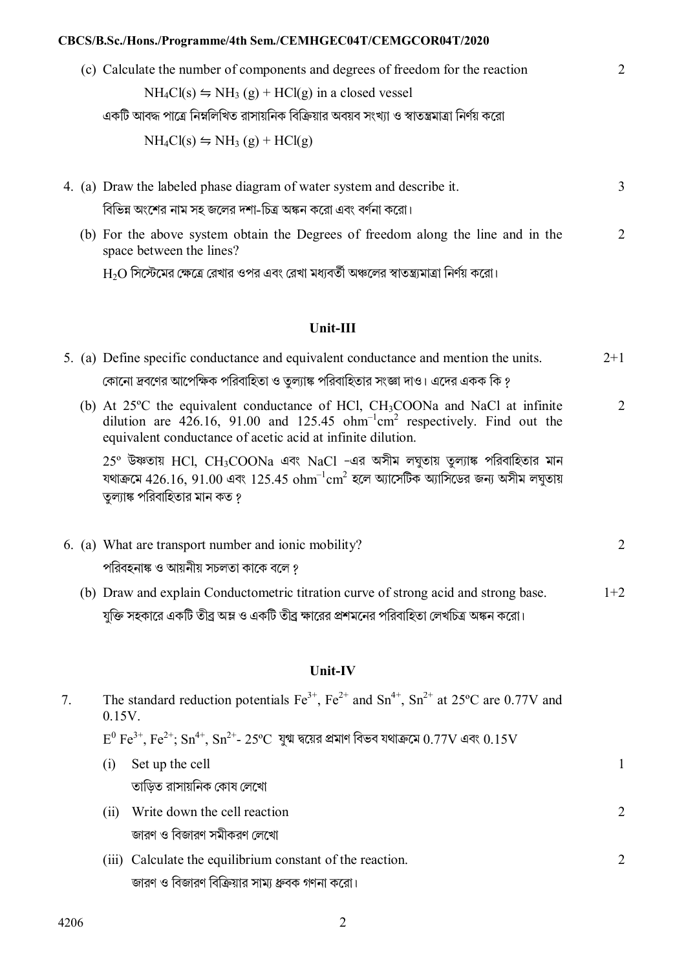#### CBCS/B.Sc./Hons./Programme/4th Sem./CEMHGEC04T/CEMGCOR04T/2020

|  | (c) Calculate the number of components and degrees of freedom for the reaction                | $\mathcal{D}_{\cdot}$ |
|--|-----------------------------------------------------------------------------------------------|-----------------------|
|  | $NH_4Cl(s) \leftrightharpoons NH_3(g) + HCl(g)$ in a closed vessel                            |                       |
|  | একটি আবদ্ধ পাত্রে নিম্নলিখিত রাসায়নিক বিক্রিয়ার অবয়ব সংখ্যা ও স্বাতন্ত্রমাত্রা নির্ণয় করো |                       |
|  | $NH_4Cl(s) \leftrightharpoons NH_3(g) + HCl(g)$                                               |                       |
|  | 4. (a) Draw the labeled phase diagram of water system and describe it.                        | 3                     |
|  | বিভিন্ন অংশের নাম সহ জলের দশা-চিত্র অঙ্কন করো এবং বর্ণনা করো।                                 |                       |

(b) For the above system obtain the Degrees of freedom along the line and in the 2 space between the lines?

 $\rm{H}_{2}O$  সিস্টেমের ক্ষেত্রে রেখার ওপর এবং রেখা মধ্যবর্তী অঞ্চলের স্বাতন্ত্র্যমাত্রা নির্ণয় করো।

#### $Unit-III$

|  | 5. (a) Define specific conductance and equivalent conductance and mention the units.                                                       | $2 + 1$ |
|--|--------------------------------------------------------------------------------------------------------------------------------------------|---------|
|  | কোনো দ্রবণের আপেক্ষিক পরিবাহিতা ও তুল্যাঙ্ক পরিবাহিতার সংজ্ঞা দাও। এদের একক কি ?                                                           |         |
|  | (b) At 25°C the equivalent conductance of HCl, CH <sub>3</sub> COONa and NaCl at infinite                                                  |         |
|  | dilution are 426.16, 91.00 and 125.45 $ohm-1cm2$ respectively. Find out the<br>equivalent conductance of acetic acid at infinite dilution. |         |

 $25^{\circ}$  উষ্ণতায় HCl, CH3COONa এবং NaCl -এর অসীম লঘুতায় তুল্যাঙ্ক পরিবাহিতার মান যথাক্রমে  $426.16$ ,  $91.00$  এবং  $125.45$   $ohm^{-1}$ c $m^2$  হলে অ্যাসেটিক অ্যাসিডের জন্য অসীম লঘুতায় তুল্যাঙ্ক পরিবাহিতার মান কত ?

|  | 6. (a) What are transport number and ionic mobility? |                                                                                     |       |  |
|--|------------------------------------------------------|-------------------------------------------------------------------------------------|-------|--|
|  |                                                      | পরিবহনাঙ্ক ও আয়নীয় সচলতা কাকে বলে গ                                               |       |  |
|  |                                                      | (b) Draw and explain Conductometric titration curve of strong acid and strong base. | $1+2$ |  |

যুক্তি সহকারে একটি তীব্র অম্ল ও একটি তীব্র ক্ষারের প্রশমনের পরিবাহিতা লেখচিত্র অঙ্কন করো।

#### Unit-IV

| The standard reduction potentials $\text{Fe}^{3+}$ , $\text{Fe}^{2+}$ and $\text{Sn}^{4+}$ , $\text{Sn}^{2+}$ at 25°C are 0.77V and<br>$0.15V$ . |                                                                                                                                           |   |
|--------------------------------------------------------------------------------------------------------------------------------------------------|-------------------------------------------------------------------------------------------------------------------------------------------|---|
|                                                                                                                                                  | $E^0$ Fe <sup>3+</sup> , Fe <sup>2+</sup> ; Sn <sup>4+</sup> , Sn <sup>2+</sup> - 25°C যুগ্ম দ্বয়ের প্রমাণ বিভব যথাক্রমে 0.77V এবং 0.15V |   |
| (1)                                                                                                                                              | Set up the cell                                                                                                                           |   |
|                                                                                                                                                  | তাড়িত রাসায়নিক কোষ লেখো                                                                                                                 |   |
| (11)                                                                                                                                             | Write down the cell reaction                                                                                                              | 2 |
|                                                                                                                                                  | জারণ ও বিজারণ সমীকরণ লেখো                                                                                                                 |   |
|                                                                                                                                                  | (iii) Calculate the equilibrium constant of the reaction.                                                                                 | 2 |
|                                                                                                                                                  | জারণ ও বিজারণ বিক্রিয়ার সাম্য ধ্রুবক গণনা করো।                                                                                           |   |
|                                                                                                                                                  |                                                                                                                                           |   |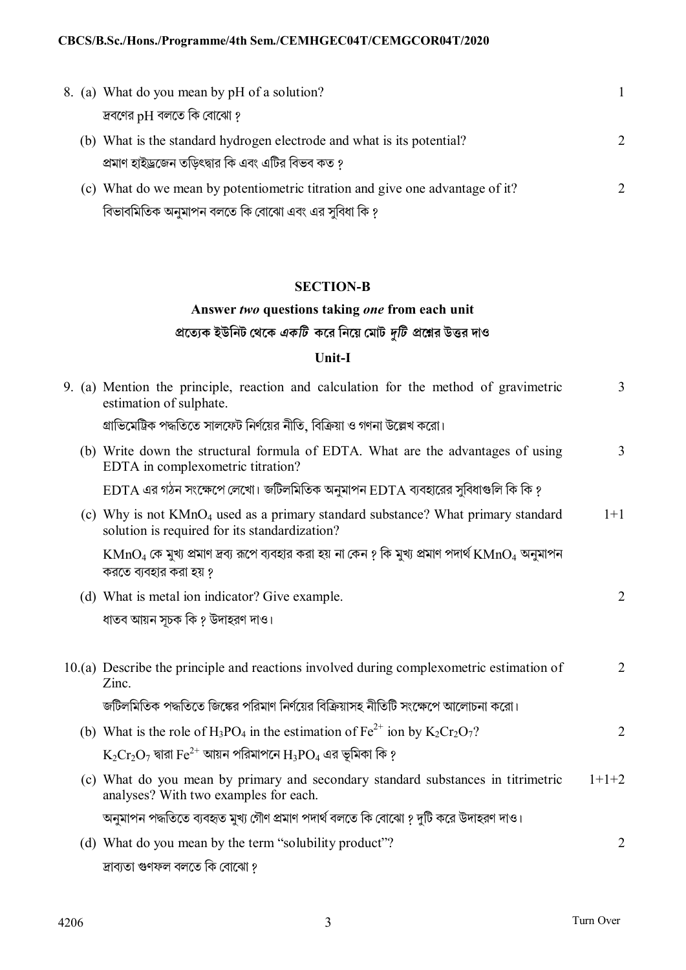|  | 8. (a) What do you mean by pH of a solution?                                  |                             |
|--|-------------------------------------------------------------------------------|-----------------------------|
|  | দ্রবণের $pH$ বলতে কি বোঝো ?                                                   |                             |
|  | (b) What is the standard hydrogen electrode and what is its potential?        | $\mathcal{D}_{\mathcal{L}}$ |
|  | প্রমাণ হাইড্রজেন তড়িৎদ্বার কি এবং এটির বিভব কত ?                             |                             |
|  | (c) What do we mean by potentiometric titration and give one advantage of it? |                             |
|  | বিভাবমিতিক অনুমাপন বলতে কি বোঝো এবং এর সুবিধা কি ?                            |                             |

## **SECTION-B**

# **Answer** *two* **questions taking** *one* **from each unit pেতয্ক ইউিনট েথেক** *একিট* **কের িনেয় েমাট** *dিট* **pেűর উtর দাও**

# **Unit-I**

| 9. (a) Mention the principle, reaction and calculation for the method of gravimetric<br>estimation of sulphate.                                     | 3              |
|-----------------------------------------------------------------------------------------------------------------------------------------------------|----------------|
| গ্রাভিমেট্রিক পদ্ধতিতে সালফেট নির্ণয়ের নীতি, বিক্রিয়া ও গণনা উল্লেখ করো।                                                                          |                |
| (b) Write down the structural formula of EDTA. What are the advantages of using<br>EDTA in complexometric titration?                                | 3              |
| $EDTA$ এর গঠন সংক্ষেপে লেখো। জটিলমিতিক অনুমাপন $EDTA$ ব্যবহারের সুবিধাগুলি কি কি ?                                                                  |                |
| (c) Why is not KMnO <sub>4</sub> used as a primary standard substance? What primary standard<br>solution is required for its standardization?       | $1+1$          |
| $\mathrm{KMnO}_4$ কে মুখ্য প্রমাণ দ্রব্য রূপে ব্যবহার করা হয় না কেন ? কি মুখ্য প্রমাণ পদার্থ $\mathrm{KMnO}_4$ অনুমাপন<br>করতে ব্যবহার করা হয় ?   |                |
| (d) What is metal ion indicator? Give example.                                                                                                      | $\overline{2}$ |
| ধাতব আয়ন সূচক কি ? উদাহরণ দাও।                                                                                                                     |                |
| 10.(a) Describe the principle and reactions involved during complexometric estimation of<br>Zinc.                                                   | $\overline{2}$ |
| জটিলমিতিক পদ্ধতিতে জিঙ্কের পরিমাণ নির্ণয়ের বিক্রিয়াসহ নীতিটি সংক্ষেপে আলোচনা করো।                                                                 |                |
| (b) What is the role of H <sub>3</sub> PO <sub>4</sub> in the estimation of Fe <sup>2+</sup> ion by K <sub>2</sub> Cr <sub>2</sub> O <sub>7</sub> ? | 2              |
| $\rm\,K_2Cr_2O_7$ দ্বারা $\rm Fe^{2+}$ আয়ন পরিমাপনে $\rm H_3PO_4$ এর ভূমিকা কি ?                                                                   |                |
| (c) What do you mean by primary and secondary standard substances in titrimetric<br>analyses? With two examples for each.                           | $1+1+2$        |
| অনুমাপন পদ্ধতিতে ব্যবহৃত মুখ্য গৌণ প্রমাণ পদার্থ বলতে কি বোঝো ? দুটি করে উদাহরণ দাও।                                                                |                |
| (d) What do you mean by the term "solubility product"?                                                                                              | $\overline{2}$ |
| দ্ৰাব্যতা গুণফল বলতে কি বোঝো ?                                                                                                                      |                |